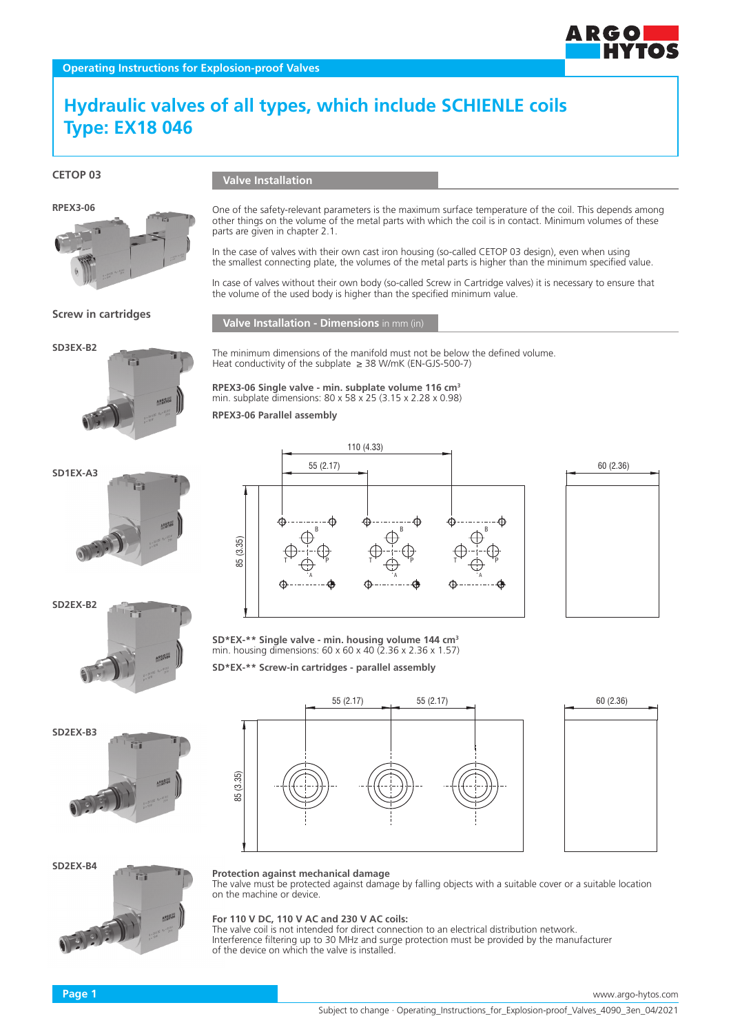# **Hydraulic valves of all types, which include SCHIENLE coils Type: EX18 046**

**CETOP 03**



parts are given in chapter 2.1.



### **Screw in cartridges**



The minimum dimensions of the manifold must not be below the defined volume. Heat conductivity of the subplate  $\geq$  38 W/mK (EN-GJS-500-7)

the volume of the used body is higher than the specified minimum value.

One of the safety-relevant parameters is the maximum surface temperature of the coil. This depends among other things on the volume of the metal parts with which the coil is in contact. Minimum volumes of these

In the case of valves with their own cast iron housing (so-called CETOP 03 design), even when using the smallest connecting plate, the volumes of the metal parts is higher than the minimum specified value. In case of valves without their own body (so-called Screw in Cartridge valves) it is necessary to ensure that

**RPEX3-06 Single valve - min. subplate volume 116 cm3** min. subplate dimensions: 80 x 58 x 25 (3.15 x 2.28 x 0.98)

**RPEX3-06 Parallel assembly**











60 (2.36)

**ARGOI** 



**Protection against mechanical damage**

The valve must be protected against damage by falling objects with a suitable cover or a suitable location on the machine or device.

#### **For 110 V DC, 110 V AC and 230 V AC coils:**

The valve coil is not intended for direct connection to an electrical distribution network. Interference filtering up to 30 MHz and surge protection must be provided by the manufacturer of the device on which the valve is installed.





**SD\*EX-\*\* Single valve - min. housing volume 144 cm3** min. housing dimensions: 60 x 60 x 40 (2.36 x 2.36 x 1.57)

**SD\*EX-\*\* Screw-in cartridges - parallel assembly**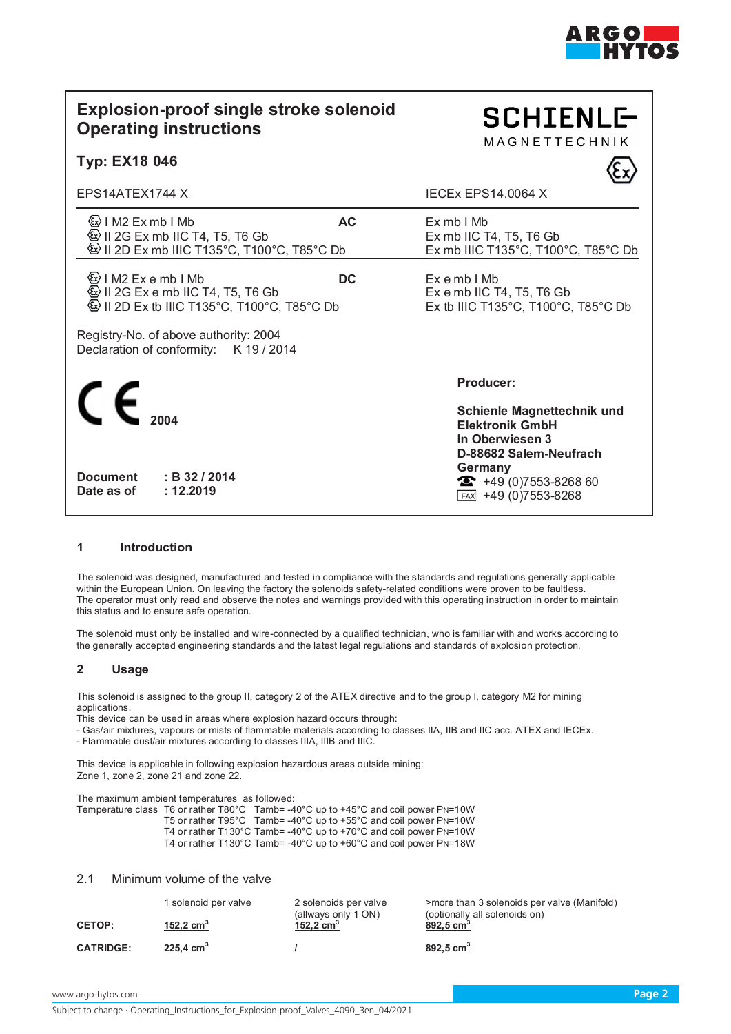

**SCHIENLE-MAGNETTECHNIK** 

# **Explosion-proof single stroke solenoid Operating instructions**

# **Typ: EX18 046**

EPS14ATEX1744 X IECEx EPS14.0064 X

**AC** Ex mb I Mb **AC** Ex mb I Mb Ex mb I Mb Ex mb I Mb Ex mb I Mb Ex mb I Mc  $\textcircled{\tiny{\textregistered}}$  II 2G Ex mb IIC T4, T5, T6 Gb  $\textcircled{\tiny{\textcircled{\tiny{1}}}}$  II 2D Ex mb IIIC T135°C, T100°C, T100°C, T100°C, T35°C Db

**③I M2 Ex e mb I Mb DC** Ex e mb I Mb<br>④I I 2G Ex e mb IIC T4. T5. T6 Gb Ex e mb IIC T4. T5. T6 Gb  $\textcircled{k}$  II 2G Ex e mb IIC T4, T5, T6 Gb  $\textcircled{\tiny{1}}$  II 2D Ex tb IIIC T135°C, T100°C, T85°C Db Ex tb IIIC T135°C, T100°C, T85°C Db

Registry-No. of above authority: 2004 Declaration of conformity: K 19 / 2014



**Document : B 32 / 2014** Date as of

# **Producer:**

**Schienle Magnettechnik und Elektronik GmbH In Oberwiesen 3 D-88682 Salem-Neufrach Germany**  $\bullet$  +49 (0)7553-8268 60  $FAX$  +49 (0)7553-8268

# **1 Introduction**

The solenoid was designed, manufactured and tested in compliance with the standards and regulations generally applicable within the European Union. On leaving the factory the solenoids safety-related conditions were proven to be faultless. The operator must only read and observe the notes and warnings provided with this operating instruction in order to maintain this status and to ensure safe operation.

The solenoid must only be installed and wire-connected by a qualified technician, who is familiar with and works according to the generally accepted engineering standards and the latest legal regulations and standards of explosion protection.

# **2 Usage**

This solenoid is assigned to the group II, category 2 of the ATEX directive and to the group I, category M2 for mining applications.

This device can be used in areas where explosion hazard occurs through:

- Gas/air mixtures, vapours or mists of flammable materials according to classes IIA, IIB and IIC acc. ATEX and IECEx.

- Flammable dust/air mixtures according to classes IIIA, IIIB and IIIC.

This device is applicable in following explosion hazardous areas outside mining: Zone 1, zone 2, zone 21 and zone 22.

The maximum ambient temperatures as followed:

Temperature class T6 or rather T80°C Tamb= -40°C up to +45°C and coil power PN=10W T5 or rather T95°C Tamb= -40°C up to +55°C and coil power PN=10W T4 or rather T130°C Tamb= -40°C up to +70°C and coil power PN=10W T4 or rather T130°C Tamb= -40°C up to +60°C and coil power PN=18W

# 2.1 Minimum volume of the valve

|                  | 1 solenoid per valve    | 2 solenoids per valve<br>(allways only 1 ON) | >more than 3 solenoids per valve (Manifold)<br>(optionally all solenoids on) |
|------------------|-------------------------|----------------------------------------------|------------------------------------------------------------------------------|
| <b>CETOP:</b>    | 152,2 $cm3$             | 152,2 $cm3$                                  | 892,5 $cm3$                                                                  |
| <b>CATRIDGE:</b> | $225,4$ cm <sup>3</sup> |                                              | $892,5$ cm <sup>3</sup>                                                      |

www.argo-hytos.com **Page 2**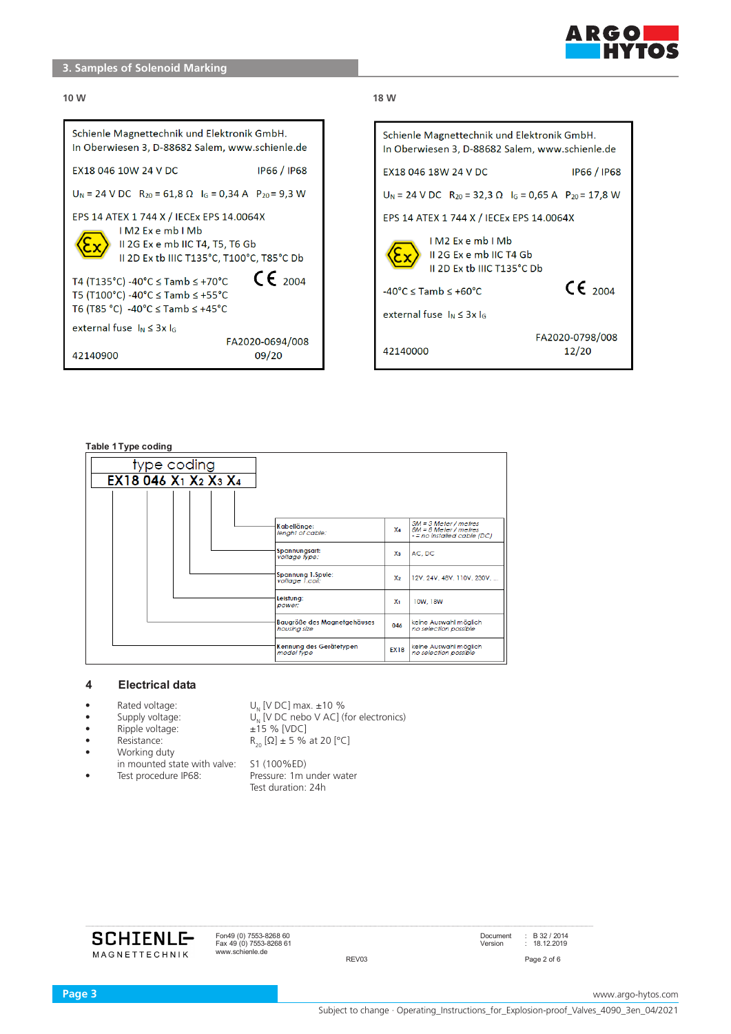

# **3. Samples of Solenoid Marking**

# $\blacksquare$ **10 W 18 W 3 Type coding** Schienle Magnettechnik und Elektronik GmbH. In Oberwiesen 3, D-88682 Salem, www.schienle.de EX18 046 10W 24 V DC **IP66 / IP68**  $U_N = 24$  V DC  $R_{20} = 61,8 \Omega$   $I_G = 0,34$  A  $P_{20} = 9,3$  W EPS 14 ATEX 1 744 X / IECEx EPS 14.0064X IM2 Exemb IMb II 2G Ex e mb IIC T4, T5, T6 Gb II 2D Ex tb IIIC T135°C, T100°C, T85°C Db  $C_{2004}$ T4 (T135°C) -40°C  $\le$  Tamb  $\le$  +70°C T5 (T100°C) -40°C  $\leq$  Tamb  $\leq$  +55°C T6 (T85 °C) -40°C ≤ Tamb ≤ +45°C external fuse  $I_N \leq 3x I_G$ FA2020-0694/008 42140900 09/20

| o vv                                                                                             |                          |  |  |  |
|--------------------------------------------------------------------------------------------------|--------------------------|--|--|--|
| Schienle Magnettechnik und Elektronik GmbH.<br>In Oberwiesen 3, D-88682 Salem, www.schienle.de   |                          |  |  |  |
| EX18 046 18W 24 V DC<br><b>IP66 / IP68</b>                                                       |                          |  |  |  |
| $U_N$ = 24 V DC R <sub>20</sub> = 32,3 $\Omega$ I <sub>G</sub> = 0,65 A P <sub>20</sub> = 17,8 W |                          |  |  |  |
| EPS 14 ATEX 1 744 X / IECEx EPS 14.0064X                                                         |                          |  |  |  |
| IM2 Exemb IMb<br>II 2G Ex e mb IIC T4 Gb<br>II 2D Ex th IIIC T135°C Dh                           |                          |  |  |  |
| $-40^{\circ}$ C $\le$ Tamb $\le$ +60 $^{\circ}$ C                                                | $\mathsf{CE}_{2004}$     |  |  |  |
| external fuse $I_N \leq 3x I_G$                                                                  |                          |  |  |  |
| 42140000                                                                                         | FA2020-0798/008<br>12/20 |  |  |  |

#### **Table 1Type coding**

| type coding                                                          |                                             |                |                                                                                 |
|----------------------------------------------------------------------|---------------------------------------------|----------------|---------------------------------------------------------------------------------|
| EX18 046 X <sub>1</sub> X <sub>2</sub> X <sub>3</sub> X <sub>4</sub> |                                             |                |                                                                                 |
|                                                                      |                                             |                |                                                                                 |
|                                                                      | Kabellänge:<br>lenght of cable:             | X <sub>4</sub> | $3M = 3$ Meter / metres<br>8M = 8 Meter / metres<br>- = no installed cable (DC) |
|                                                                      | Spannungsart:<br>voltage fype:              | Xз             | AC, DC                                                                          |
|                                                                      | Spannung 1.Spule:<br>voltage 1.coil:        | x <sub>2</sub> | 12V, 24V, 48V, 110V, 230V,                                                      |
|                                                                      | Leistung:<br>power:                         | X <sub>1</sub> | 10W.18W                                                                         |
|                                                                      | Baugröße des Magnetgehäuses<br>housing size | 046            | keine Auswahl möglich<br>no selection possible                                  |
|                                                                      | Kennung des Gerätetypen<br>model type       | <b>EX18</b>    | keine Auswahl möglich<br>no selection possible                                  |

### **4 Electrical data**

- •
- •
- •
- •
- Working duty Working duty •
- in mounted state with valve: S1 (100%ED) in mounted state with valve: S1 (100%ED) •

• Rated voltage:  $U_N$  [V DC] max.  $\pm 10$  % • Supply voltage:  $U_N$  [V DC nebo V AC] (for electronics) ● Ripple voltage: ± 15% [VDC] Ripple voltage: ±15 % [VDC] **•** Resistance:  $R_{20} [\Omega] \pm 5 \%$  at 20 [°C]

● Test procedure: Pressure: 1m under water Test procedure IP68: Pressure: 1m under water Test duration: 24h Test duration: 24h



Fax 49 (0) 7553-8268 61<br>www.schienle.de

Fon49 (0) 7553-8268 60 Document : B 32 / 2014 Fax 49 (0) 7553-8268 61 Version : 18.12.2019 REV03 Page 2 of 6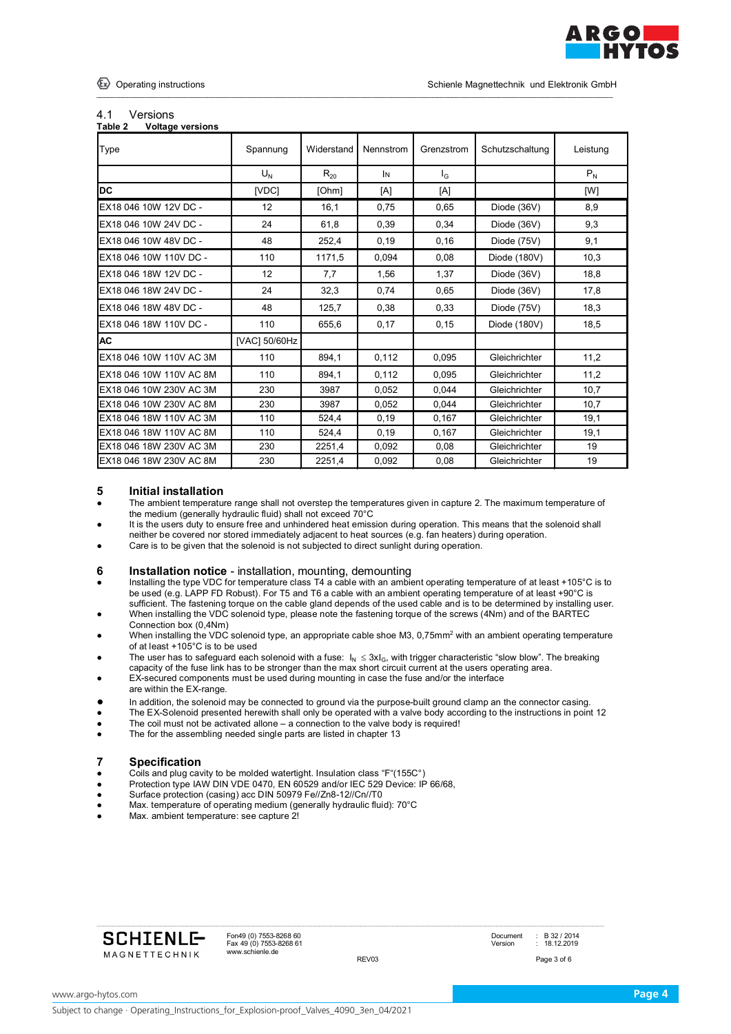

## 4.1 Versions

| Table 2<br><b>Voltage versions</b> |               |            |           |            |                 |          |
|------------------------------------|---------------|------------|-----------|------------|-----------------|----------|
| Type                               | Spannung      | Widerstand | Nennstrom | Grenzstrom | Schutzschaltung | Leistung |
|                                    | $U_{N}$       | $R_{20}$   | IN        | $I_{G}$    |                 | $P_N$    |
| <b>DC</b>                          | [VDC]         | [Ohm]      | [A]       | [A]        |                 | [W]      |
| EX18 046 10W 12V DC -              | 12            | 16,1       | 0.75      | 0,65       | Diode (36V)     | 8,9      |
| EX18 046 10W 24V DC -              | 24            | 61,8       | 0,39      | 0,34       | Diode (36V)     | 9,3      |
| EX18 046 10W 48V DC -              | 48            | 252,4      | 0.19      | 0.16       | Diode (75V)     | 9,1      |
| EX18 046 10W 110V DC -             | 110           | 1171,5     | 0.094     | 0,08       | Diode (180V)    | 10,3     |
| EX18 046 18W 12V DC -              | 12            | 7,7        | 1.56      | 1.37       | Diode (36V)     | 18.8     |
| EX18 046 18W 24V DC -              | 24            | 32,3       | 0,74      | 0,65       | Diode (36V)     | 17,8     |
| EX18 046 18W 48V DC -              | 48            | 125,7      | 0.38      | 0,33       | Diode (75V)     | 18,3     |
| EX18 046 18W 110V DC -             | 110           | 655.6      | 0,17      | 0.15       | Diode (180V)    | 18,5     |
| <b>AC</b>                          | [VAC] 50/60Hz |            |           |            |                 |          |
| EX18 046 10W 110V AC 3M            | 110           | 894,1      | 0,112     | 0.095      | Gleichrichter   | 11,2     |
| EX18 046 10W 110V AC 8M            | 110           | 894,1      | 0.112     | 0.095      | Gleichrichter   | 11,2     |
| EX18 046 10W 230V AC 3M            | 230           | 3987       | 0.052     | 0.044      | Gleichrichter   | 10,7     |
| EX18 046 10W 230V AC 8M            | 230           | 3987       | 0.052     | 0.044      | Gleichrichter   | 10,7     |
| EX18 046 18W 110V AC 3M            | 110           | 524.4      | 0.19      | 0.167      | Gleichrichter   | 19,1     |
| EX18 046 18W 110V AC 8M            | 110           | 524,4      | 0,19      | 0,167      | Gleichrichter   | 19,1     |
| EX18 046 18W 230V AC 3M            | 230           | 2251,4     | 0.092     | 0,08       | Gleichrichter   | 19       |
| EX18 046 18W 230V AC 8M            | 230           | 2251,4     | 0,092     | 0,08       | Gleichrichter   | 19       |

\_\_\_\_\_\_\_\_\_\_\_\_\_\_\_\_\_\_\_\_\_\_\_\_\_\_\_\_\_\_\_\_\_\_\_\_\_\_\_\_\_\_\_\_\_\_\_\_\_\_\_\_\_\_\_\_\_\_\_\_\_\_\_\_\_\_\_\_\_\_\_\_\_\_\_\_\_\_\_\_\_\_\_\_\_\_\_\_\_\_\_\_\_\_\_\_\_\_\_\_\_\_\_\_\_\_\_\_\_\_\_\_\_\_\_\_\_\_\_\_\_\_\_\_\_\_\_\_\_\_\_\_\_\_\_

# **5 Initial installation**<br>• The ambient temperatu

- The ambient temperature range shall not overstep the temperatures given in capture 2. The maximum temperature of the medium (generally hydraulic fluid) shall not exceed 70°C
- It is the users duty to ensure free and unhindered heat emission during operation. This means that the solenoid shall neither be covered nor stored immediately adjacent to heat sources (e.g. fan heaters) during operation.
- Care is to be given that the solenoid is not subjected to direct sunlight during operation.

## **6 Installation notice** - installation, mounting, demounting

- Installing the type VDC for temperature class T4 a cable with an ambient operating temperature of at least +105°C is to be used (e.g. LAPP FD Robust). For T5 and T6 a cable with an ambient operating temperature of at least +90°C is sufficient. The fastening torque on the cable gland depends of the used cable and is to be determined by installing user.
- When installing the VDC solenoid type, please note the fastening torque of the screws (4Nm) and of the BARTEC Connection box (0,4Nm)
- When installing the VDC solenoid type, an appropriate cable shoe M3, 0,75mm<sup>2</sup> with an ambient operating temperature of at least +105°C is to be used
- **•** The user has to safeguard each solenoid with a fuse:  $I_N \le 3xI_G$ , with trigger characteristic "slow blow". The breaking
- capacity of the fuse link has to be stronger than the max short circuit current at the users operating area.
- EX-secured components must be used during mounting in case the fuse and/or the interface
- are within the EX-range.
- In addition, the solenoid may be connected to ground via the purpose-built ground clamp an the connector casing.
- The EX-Solenoid presented herewith shall only be operated with a valve body according to the instructions in point 12
- The coil must not be activated allone a connection to the valve body is required!
- The for the assembling needed single parts are listed in chapter 13

## **7 Specification**

- Coils and plug cavity to be molded watertight. Insulation class "F"(155C°)
- Protection type IAW DIN VDE 0470, EN 60529 and/or IEC 529 Device: IP 66/68,
- Surface protection (casing) acc DIN 50979 Fe//Zn8-12//Cn//T0
- Max. temperature of operating medium (generally hydraulic fluid): 70°C
- Max. ambient temperature: see capture 2!

| <b>SCHIENLE-</b> |
|------------------|
| MAGNETTECHNIK    |

Fax 49 (0) 7553-8268 61 Version : 18.12.2019 www.schienle.de

Fon49 (0) 7553-8268 60 Document : B 32 / 2014

REV03 Page 3 of 6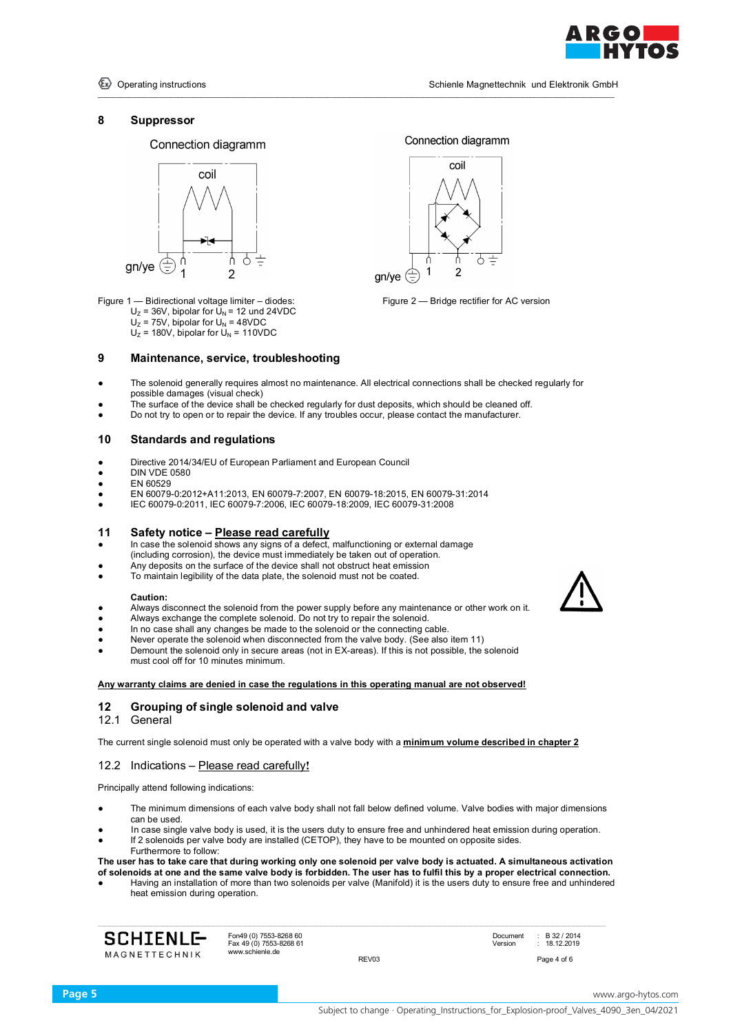

Connection diagramm

coil

ሐ

#### **8 Suppressor**





Figure 1 — Bidirectional voltage limiter – diodes: Figure 2 — Bridge rectifier for AC version  $U_z = 36V$ , bipolar for  $U_N = 12$  und 24VDC  $U_z$  = 75V, bipolar for  $U_N$  = 48VDC  $U_z$  = 180V, bipolar for  $U_N$  = 110VDC

#### **9 Maintenance, service, troubleshooting**

The solenoid generally requires almost no maintenance. All electrical connections shall be checked regularly for possible damages (visual check)

gn/ye

\_\_\_\_\_\_\_\_\_\_\_\_\_\_\_\_\_\_\_\_\_\_\_\_\_\_\_\_\_\_\_\_\_\_\_\_\_\_\_\_\_\_\_\_\_\_\_\_\_\_\_\_\_\_\_\_\_\_\_\_\_\_\_\_\_\_\_\_\_\_\_\_\_\_\_\_\_\_\_\_\_\_\_\_\_\_\_\_\_\_\_\_\_\_\_\_\_\_\_\_\_\_\_\_\_\_\_\_\_\_\_\_\_\_\_\_\_\_\_\_\_\_\_\_\_\_\_\_\_\_\_\_\_\_\_

- The surface of the device shall be checked regularly for dust deposits, which should be cleaned off.
- Do not try to open or to repair the device. If any troubles occur, please contact the manufacturer.

## **10 Standards and regulations**

- Directive 2014/34/EU of European Parliament and European Council
- **DIN VDE 0580**
- EN 60529
- EN 60079-0:2012+A11:2013, EN 60079-7:2007, EN 60079-18:2015, EN 60079-31:2014
- IEC 60079-0:2011, IEC 60079-7:2006, IEC 60079-18:2009, IEC 60079-31:2008

#### **11 Safety notice – Please read carefully**

- In case the solenoid shows any signs of a defect, malfunctioning or external damage (including corrosion), the device must immediately be taken out of operation.
- Any deposits on the surface of the device shall not obstruct heat emission
- To maintain legibility of the data plate, the solenoid must not be coated.

#### **Caution:**

- Always disconnect the solenoid from the power supply before any maintenance or other work on it.
- Always exchange the complete solenoid. Do not try to repair the solenoid.
- In no case shall any changes be made to the solenoid or the connecting cable.
- Never operate the solenoid when disconnected from the valve body. (See also item 11) Demount the solenoid only in secure areas (not in EX-areas). If this is not possible, the solenoid must cool off for 10 minutes minimum.
- **Any warranty claims are denied in case the regulations in this operating manual are not observed!**

#### **12 Grouping of single solenoid and valve**

12.1 General

The current single solenoid must only be operated with a valve body with a **minimum volume described in chapter 2**

#### 12.2 Indications – Please read carefully**!**

Principally attend following indications:

- The minimum dimensions of each valve body shall not fall below defined volume. Valve bodies with major dimensions can be used.
- In case single valve body is used, it is the users duty to ensure free and unhindered heat emission during operation.
- If 2 solenoids per valve body are installed (CETOP), they have to be mounted on opposite sides.
- Furthermore to follow:

**The user has to take care that during working only one solenoid per valve body is actuated. A simultaneous activation of solenoids at one and the same valve body is forbidden. The user has to fulfil this by a proper electrical connection.**

Having an installation of more than two solenoids per valve (Manifold) it is the users duty to ensure free and unhindered heat emission during operation.

**SCHIENLE MAGNETTECHNIK** 

Fax 49 (0) 7553-8268 61 Version : 18.12.2019 www.schienle.de

REV03 Page 4 of 6

Fon49 (0) 7553-8268 60 **Document : B 32 / 2014**<br>
Fax 49 (0) 7553-8268 61 **Document : B 32 / 2014**<br>
Version : 18.12.2019

**Page 5** www.argo-hytos.com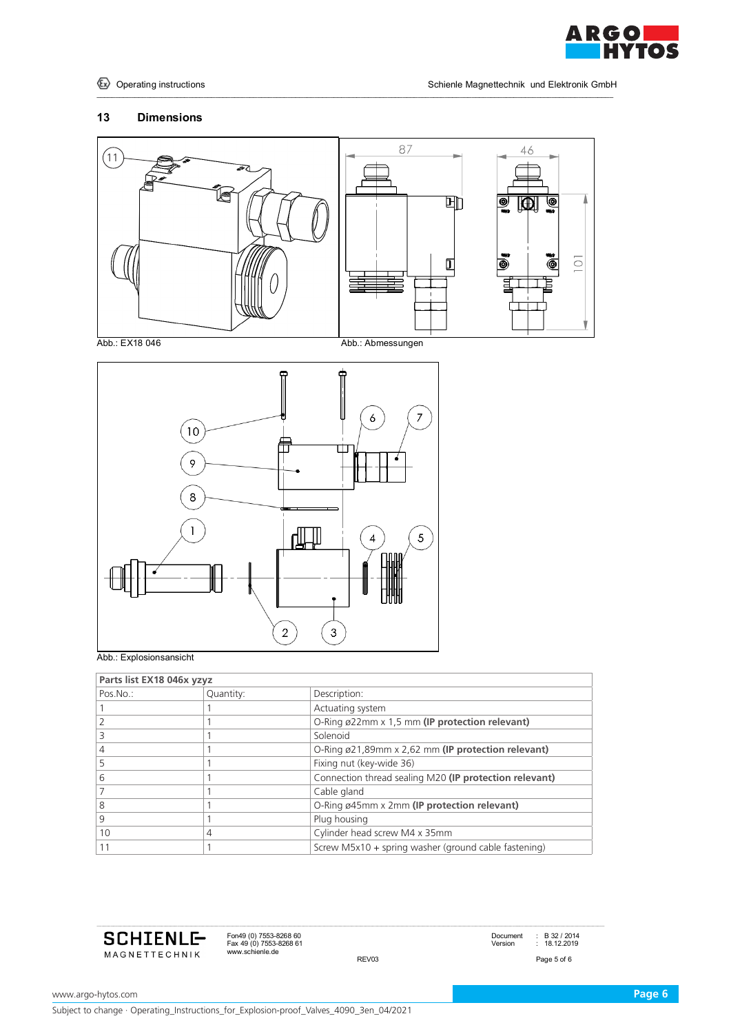

# **Dimensions**



\_\_\_\_\_\_\_\_\_\_\_\_\_\_\_\_\_\_\_\_\_\_\_\_\_\_\_\_\_\_\_\_\_\_\_\_\_\_\_\_\_\_\_\_\_\_\_\_\_\_\_\_\_\_\_\_\_\_\_\_\_\_\_\_\_\_\_\_\_\_\_\_\_\_\_\_\_\_\_\_\_\_\_\_\_\_\_\_\_\_\_\_\_\_\_\_\_\_\_\_\_\_\_\_\_\_\_\_\_\_\_\_\_\_\_\_\_\_\_\_\_\_\_\_\_\_\_\_\_\_\_\_\_\_\_





Abb.: Explosionsansicht

| Parts list EX18 046x yzyz |           |                                                        |  |  |
|---------------------------|-----------|--------------------------------------------------------|--|--|
| $Pos.No.$ :               | Quantity: | Description:                                           |  |  |
|                           |           | Actuating system                                       |  |  |
|                           |           | O-Ring ø22mm x 1,5 mm (IP protection relevant)         |  |  |
|                           |           | Solenoid                                               |  |  |
| 4                         |           | O-Ring ø21,89mm x 2,62 mm (IP protection relevant)     |  |  |
|                           |           | Fixing nut (key-wide 36)                               |  |  |
| 6                         |           | Connection thread sealing M20 (IP protection relevant) |  |  |
|                           |           | Cable gland                                            |  |  |
| 8                         |           | O-Ring ø45mm x 2mm (IP protection relevant)            |  |  |
| 9                         |           | Plug housing                                           |  |  |
| 10                        | 4         | Cylinder head screw M4 x 35mm                          |  |  |
|                           |           | Screw M5x10 + spring washer (ground cable fastening)   |  |  |



Fon49 (0) 7553-8268 60<br>Fax 49 (0) 7553-8268 61 Document : B 32 / 2014<br>www.schienle.de REV03 Page 5 of 6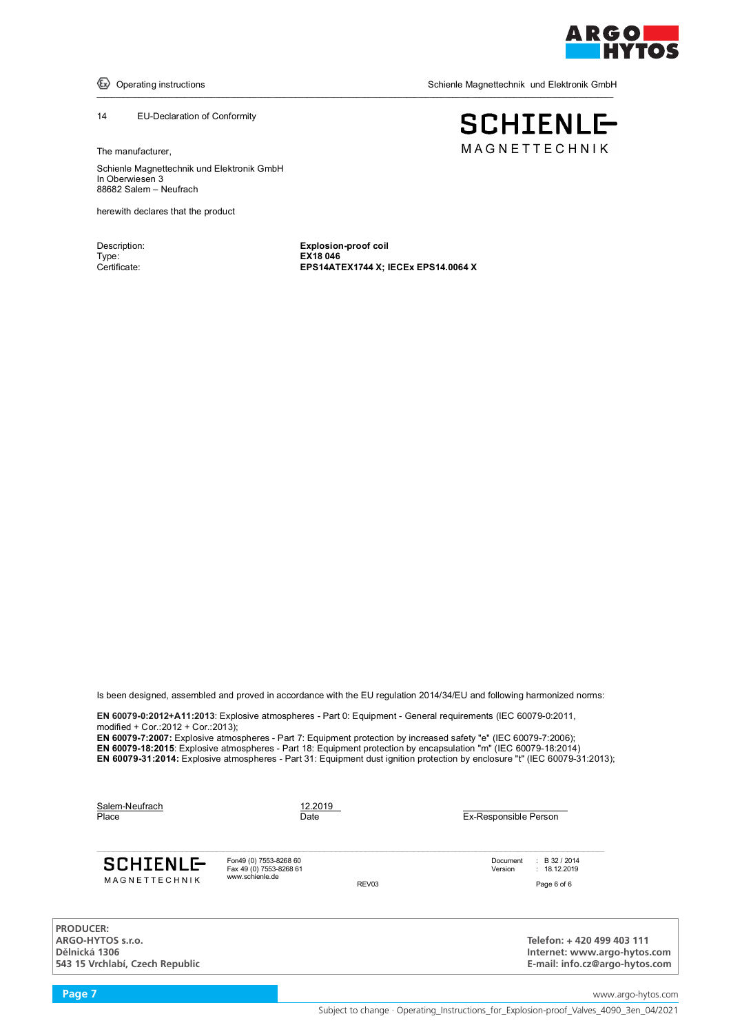

 $\langle \overline{\epsilon} \rangle$  Operating instructions

Schienle Magnettechnik und Elektronik GmbH

**SCHIENLE-**MAGNETTECHNIK

#### 14 EU-Declaration of Conformity

The manufacturer,

Schienle Magnettechnik und Elektronik GmbH<br>. In Oberwiesen 3<br>Type: **EXIS 0466** 88682 Salem – Neufrach **International Attack of Text** 

schienle Magnettechnik und Elektronik und Elektronik und Elektronik und Elektronik GmbH

herewith declares that the product

Type: **EX18 046**<br>Certificate: **EPS14AT** 

Description: **Explosion-proof coil EPS14ATEX1744 X; IECEx EPS14.0064 X** 

\_\_\_\_\_\_\_\_\_\_\_\_\_\_\_\_\_\_\_\_\_\_\_\_\_\_\_\_\_\_\_\_\_\_\_\_\_\_\_\_\_\_\_\_\_\_\_\_\_\_\_\_\_\_\_\_\_\_\_\_\_\_\_\_\_\_\_\_\_\_\_\_\_\_\_\_\_\_\_\_\_\_\_\_\_\_\_\_\_\_\_\_\_\_\_\_\_\_\_\_\_\_\_\_\_\_\_\_\_\_\_\_\_\_\_\_\_\_\_\_\_\_\_\_\_\_\_\_\_\_\_\_\_\_\_

Is been designed, assembled and proved in accordance with the EU regulation 2014/34/EU and following harmonized norms:

**EN 60079-0:2012+A11:2013**: Explosive atmospheres - Part 0: Equipment - General requirements (IEC 60079-0:2011, modified + Cor.:2012 + Cor.:2013);

**EN 60079-7:2007:** Explosive atmospheres - Part 7: Equipment protection by increased safety "e" (IEC 60079-7:2006); **EN 60079-18:2015**: Explosive atmospheres - Part 18: Equipment protection by encapsulation "m" (IEC 60079-18:2014) **EN 60079-31:2014:** Explosive atmospheres - Part 31: Equipment dust ignition protection by enclosure "t" (IEC 60079-31:2013);

| Salem-Neufrach<br>Place                                                                   | 12.2019<br>Date                                                      |       | Ex-Responsible Person |                                                                                             |
|-------------------------------------------------------------------------------------------|----------------------------------------------------------------------|-------|-----------------------|---------------------------------------------------------------------------------------------|
| <b>SCHIENLE-</b><br>MAGNETTECHNIK                                                         | Fon49 (0) 7553-8268 60<br>Fax 49 (0) 7553-8268 61<br>www.schienle.de | REV03 | Document<br>Version   | $\div$ B 32 / 2014<br>: 18.12.2019<br>Page 6 of 6                                           |
| <b>PRODUCER:</b><br>ARGO-HYTOS s.r.o.<br>Dělnická 1306<br>543 15 Vrchlabí, Czech Republic |                                                                      |       |                       | Telefon: +420 499 403 111<br>Internet: www.argo-hytos.com<br>E-mail: info.cz@argo-hytos.com |

**Page 7** www.argo-hytos.com